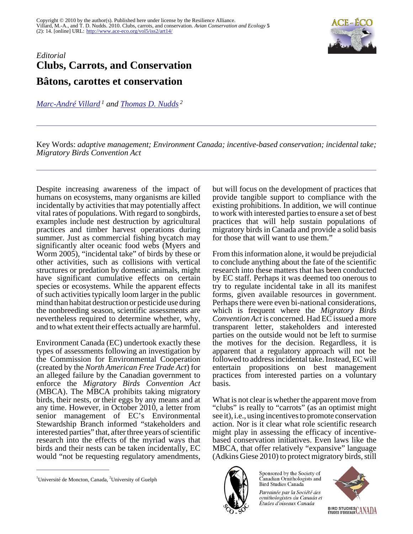

## *Editorial* **Clubs, Carrots, and Conservation Bâtons, carottes et conservation**

*[Marc-André Villard](mailto:marc-andre.villard@umoncton.ca)<sup>1</sup> and [Thomas D. Nudds](mailto:tnudds@uoguelph.ca)<sup>2</sup>*

Key Words: *adaptive management; Environment Canada; incentive-based conservation; incidental take; Migratory Birds Convention Act* 

Despite increasing awareness of the impact of humans on ecosystems, many organisms are killed incidentally by activities that may potentially affect vital rates of populations. With regard to songbirds, examples include nest destruction by agricultural practices and timber harvest operations during summer. Just as commercial fishing bycatch may significantly alter oceanic food webs (Myers and Worm 2005), "incidental take" of birds by these or other activities, such as collisions with vertical structures or predation by domestic animals, might have significant cumulative effects on certain species or ecosystems. While the apparent effects of such activities typically loom larger in the public mind than habitat destruction or pesticide use during the nonbreeding season, scientific assessments are nevertheless required to determine whether, why, and to what extent their effects actually are harmful.

Environment Canada (EC) undertook exactly these types of assessments following an investigation by the Commission for Environmental Cooperation (created by the *North American Free Trade Act*) for an alleged failure by the Canadian government to enforce the *Migratory Birds Convention Act* (MBCA). The MBCA prohibits taking migratory birds, their nests, or their eggs by any means and at any time. However, in October 2010, a letter from senior management of EC's Environmental Stewardship Branch informed "stakeholders and interested parties" that, after three years of scientific research into the effects of the myriad ways that birds and their nests can be taken incidentally, EC would "not be requesting regulatory amendments,

but will focus on the development of practices that provide tangible support to compliance with the existing prohibitions. In addition, we will continue to work with interested parties to ensure a set of best practices that will help sustain populations of migratory birds in Canada and provide a solid basis for those that will want to use them."

From this information alone, it would be prejudicial to conclude anything about the fate of the scientific research into these matters that has been conducted by EC staff. Perhaps it was deemed too onerous to try to regulate incidental take in all its manifest forms, given available resources in government. Perhaps there were even bi-national considerations, which is frequent where the *Migratory Birds Convention Act* is concerned. Had EC issued a more transparent letter, stakeholders and interested parties on the outside would not be left to surmise the motives for the decision. Regardless, it is apparent that a regulatory approach will not be followed to address incidental take. Instead, EC will entertain propositions on best management practices from interested parties on a voluntary basis.

What is not clear is whether the apparent move from "clubs" is really to "carrots" (as an optimist might see it), i.e., using incentives to promote conservation action. Nor is it clear what role scientific research might play in assessing the efficacy of incentivebased conservation initiatives. Even laws like the MBCA, that offer relatively "expansive" language (Adkins Giese 2010) to protect migratory birds, still



Canadian Ornithologists and Bird Studies Canada Parrainée par la Société des ornithologistes du Canada et Études d'oiseaux Canada

Sponsored by the Society of



<sup>&</sup>lt;sup>1</sup>Université de Moncton, Canada, <sup>2</sup>University of Guelph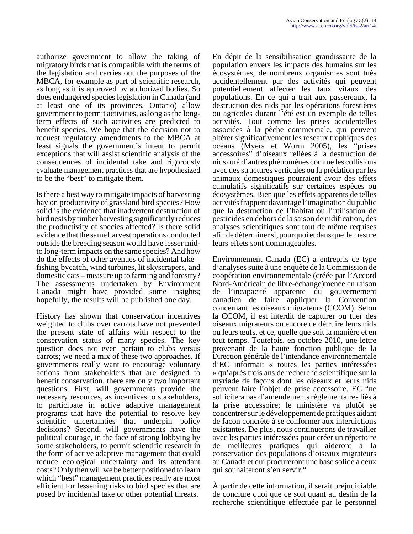authorize government to allow the taking of migratory birds that is compatible with the terms of the legislation and carries out the purposes of the MBCA, for example as part of scientific research, as long as it is approved by authorized bodies. So does endangered species legislation in Canada (and at least one of its provinces, Ontario) allow government to permit activities, as long as the longterm effects of such activities are predicted to benefit species. We hope that the decision not to request regulatory amendments to the MBCA at least signals the government's intent to permit exceptions that will assist scientific analysis of the consequences of incidental take and rigorously evaluate management practices that are hypothesized to be the "best" to mitigate them.

Is there a best way to mitigate impacts of harvesting hay on productivity of grassland bird species? How solid is the evidence that inadvertent destruction of bird nests by timber harvesting significantly reduces the productivity of species affected? Is there solid evidence that the same harvest operations conducted outside the breeding season would have lesser midto long-term impacts on the same species? And how do the effects of other avenues of incidental take – fishing bycatch, wind turbines, lit skyscrapers, and domestic cats – measure up to farming and forestry? The assessments undertaken by Environment Canada might have provided some insights; hopefully, the results will be published one day.

History has shown that conservation incentives weighted to clubs over carrots have not prevented the present state of affairs with respect to the conservation status of many species. The key question does not even pertain to clubs versus carrots; we need a mix of these two approaches. If governments really want to encourage voluntary actions from stakeholders that are designed to benefit conservation, there are only two important questions. First, will governments provide the necessary resources, as incentives to stakeholders, to participate in active adaptive management programs that have the potential to resolve key scientific uncertainties that underpin policy decisions? Second, will governments have the political courage, in the face of strong lobbying by some stakeholders, to permit scientific research in the form of active adaptive management that could reduce ecological uncertainty and its attendant costs? Only then will we be better positioned to learn which "best" management practices really are most efficient for lessening risks to bird species that are posed by incidental take or other potential threats.

En dépit de la sensibilisation grandissante de la population envers les impacts des humains sur les écosystèmes, de nombreux organismes sont tués accidentellement par des activités qui peuvent potentiellement affecter les taux vitaux des populations. En ce qui a trait aux passereaux, la destruction des nids par les opérations forestières ou agricoles durant l'été est un exemple de telles activités. Tout comme les prises accidentelles associées à la pêche commerciale, qui peuvent altérer significativement les réseaux trophiques des océans (Myers et Worm 2005), les "prises accessoires" d'oiseaux reliées à la destruction de nids ou à d'autres phénomènes comme les collisions avec des structures verticales ou la prédation par les animaux domestiques pourraient avoir des effets cumulatifs significatifs sur certaines espèces ou écosystèmes. Bien que les effets apparents de telles activités frappent davantage l'imagination du public que la destruction de l'habitat ou l'utilisation de pesticides en dehors de la saison de nidification, des analyses scientifiques sont tout de même requises afin de déterminer si, pourquoi et dans quelle mesure leurs effets sont dommageables.

Environnement Canada (EC) a entrepris ce type d'analyses suite à une enquête de la Commission de coopération environnementale (créée par l'Accord Nord-Américain de libre-échange)menée en raison de l'incapacité apparente du gouvernement canadien de faire appliquer la Convention concernant les oiseaux migrateurs (CCOM). Selon la CCOM, il est interdit de capturer ou tuer des oiseaux migrateurs ou encore de détruire leurs nids ou leurs œufs, et ce, quelle que soit la manière et en tout temps. Toutefois, en octobre 2010, une lettre provenant de la haute fonction publique de la Direction générale de l'intendance environnementale d'EC informait « toutes les parties intéressées » qu'après trois ans de recherche scientifique sur la myriade de façons dont les oiseaux et leurs nids peuvent faire l'objet de prise accessoire, EC "ne sollicitera pas d'amendements réglementaires liés à la prise accessoire; le ministère va plutôt se concentrer sur le développement de pratiques aidant de façon concrète à se conformer aux interdictions existantes. De plus, nous continuerons de travailler avec les parties intéressées pour créer un répertoire de meilleures pratiques qui aideront à la conservation des populations d'oiseaux migrateurs au Canada et qui procureront une base solide à ceux qui souhaiteront s'en servir."

À partir de cette information, il serait préjudiciable de conclure quoi que ce soit quant au destin de la recherche scientifique effectuée par le personnel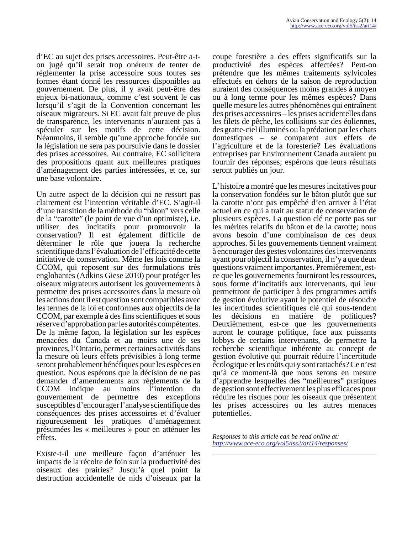d'EC au sujet des prises accessoires. Peut-être a-ton jugé qu'il serait trop onéreux de tenter de réglementer la prise accessoire sous toutes ses formes étant donné les ressources disponibles au gouvernement. De plus, il y avait peut-être des enjeux bi-nationaux, comme c'est souvent le cas lorsqu'il s'agit de la Convention concernant les oiseaux migrateurs. Si EC avait fait preuve de plus de transparence, les intervenants n'auraient pas à spéculer sur les motifs de cette décision. Néanmoins, il semble qu'une approche fondée sur la législation ne sera pas poursuivie dans le dossier des prises accessoires. Au contraire, EC sollicitera des propositions quant aux meilleures pratiques d'aménagement des parties intéressées, et ce, sur une base volontaire.

Un autre aspect de la décision qui ne ressort pas clairement est l'intention véritable d'EC. S'agit-il d'une transition de la méthode du "bâton" vers celle de la "carotte" (le point de vue d'un optimiste), i.e. utiliser des incitatifs pour promouvoir la conservation? Il est également difficile de déterminer le rôle que jouera la recherche scientifique dans l'évaluation de l'efficacité de cette initiative de conservation. Même les lois comme la CCOM, qui reposent sur des formulations très englobantes (Adkins Giese 2010) pour protéger les oiseaux migrateurs autorisent les gouvernements à permettre des prises accessoires dans la mesure où les actions dont il est question sont compatibles avec les termes de la loi et conformes aux objectifs de la CCOM, par exemple à des fins scientifiques et sous réserve d'approbation par les autorités compétentes. De la même façon, la législation sur les espèces menacées du Canada et au moins une de ses provinces, l'Ontario, permet certaines activités dans la mesure où leurs effets prévisibles à long terme seront probablement bénéfiques pour les espèces en question. Nous espérons que la décision de ne pas demander d'amendements aux règlements de la CCOM indique au moins l'intention du gouvernement de permettre des exceptions susceptibles d'encourager l'analyse scientifique des conséquences des prises accessoires et d'évaluer rigoureusement les pratiques d'aménagement présumées les « meilleures » pour en atténuer les effets.

Existe-t-il une meilleure façon d'atténuer les impacts de la récolte de foin sur la productivité des oiseaux des prairies? Jusqu'à quel point la destruction accidentelle de nids d'oiseaux par la coupe forestière a des effets significatifs sur la productivité des espèces affectées? Peut-on prétendre que les mêmes traitements sylvicoles effectués en dehors de la saison de reproduction auraient des conséquences moins grandes à moyen ou à long terme pour les mêmes espèces? Dans quelle mesure les autres phénomènes qui entraînent des prises accessoires – les prises accidentelles dans les filets de pêche, les collisions sur des éoliennes, des gratte-ciel illuminés ou la prédation par les chats domestiques – se comparent aux effets de l'agriculture et de la foresterie? Les évaluations entreprises par Environnement Canada auraient pu fournir des réponses; espérons que leurs résultats seront publiés un jour.

L'histoire a montré que les mesures incitatives pour la conservation fondées sur le bâton plutôt que sur la carotte n'ont pas empêché d'en arriver à l'état actuel en ce qui a trait au statut de conservation de plusieurs espèces. La question clé ne porte pas sur les mérites relatifs du bâton et de la carotte; nous avons besoin d'une combinaison de ces deux approches. Si les gouvernements tiennent vraiment à encourager des gestes volontaires des intervenants ayant pour objectif la conservation, il n'y a que deux questions vraiment importantes. Premièrement, estce que les gouvernements fourniront les ressources, sous forme d'incitatifs aux intervenants, qui leur permettront de participer à des programmes actifs de gestion évolutive ayant le potentiel de résoudre les incertitudes scientifiques clé qui sous-tendent les décisions en matière de politiques? Deuxièmement, est-ce que les gouvernements auront le courage politique, face aux puissants lobbys de certains intervenants, de permettre la recherche scientifique inhérente au concept de gestion évolutive qui pourrait réduire l'incertitude écologique et les coûts qui y sont rattachés? Ce n'est qu'à ce moment-là que nous serons en mesure d'apprendre lesquelles des "meilleures" pratiques de gestion sont effectivement les plus efficaces pour réduire les risques pour les oiseaux que présentent les prises accessoires ou les autres menaces potentielles.

*Responses to this article can be read online at: <http://www.ace-eco.org/vol5/iss2/art14/responses/>*